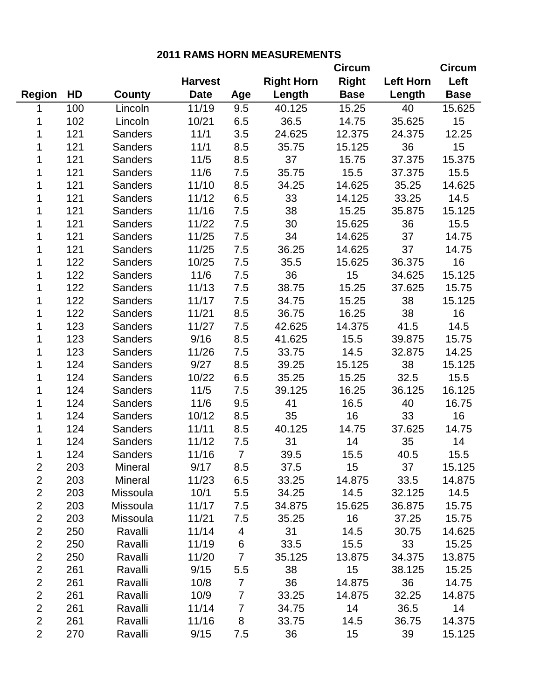|                |     |                |                |                |                   | <b>Circum</b>   |                  | <b>Circum</b> |
|----------------|-----|----------------|----------------|----------------|-------------------|-----------------|------------------|---------------|
|                |     |                | <b>Harvest</b> |                | <b>Right Horn</b> | <b>Right</b>    | <b>Left Horn</b> | Left          |
| <b>Region</b>  | HD  | <b>County</b>  | <b>Date</b>    | Age            | Length            | <b>Base</b>     | Length           | <b>Base</b>   |
| 1              | 100 | Lincoln        | 11/19          | 9.5            | 40.125            | 15.25           | 40               | 15.625        |
| 1              | 102 | Lincoln        | 10/21          | 6.5            | 36.5              | 14.75           | 35.625           | 15            |
| 1              | 121 | <b>Sanders</b> | 11/1           | 3.5            | 24.625            | 12.375          | 24.375           | 12.25         |
| 1              | 121 | <b>Sanders</b> | 11/1           | 8.5            | 35.75             | 15.125          | 36               | 15            |
| 1              | 121 | <b>Sanders</b> | 11/5           | 8.5            | 37                | 15.75           | 37.375           | 15.375        |
| 1              | 121 | <b>Sanders</b> | 11/6           | 7.5            | 35.75             | 15.5            | 37.375           | 15.5          |
| 1              | 121 | <b>Sanders</b> | 11/10          | 8.5            | 34.25             | 14.625          | 35.25            | 14.625        |
| 1              | 121 | <b>Sanders</b> | 11/12          | 6.5            | 33                | 14.125          | 33.25            | 14.5          |
| 1              | 121 | <b>Sanders</b> | 11/16          | 7.5            | 38                | 15.25           | 35.875           | 15.125        |
| 1              | 121 | <b>Sanders</b> | 11/22          | 7.5            | 30                | 15.625          | 36               | 15.5          |
| 1              | 121 | <b>Sanders</b> | 11/25          | 7.5            | 34                | 14.625          | 37               | 14.75         |
| 1              | 121 | <b>Sanders</b> | 11/25          | 7.5            | 36.25             | 14.625          | 37               | 14.75         |
| 1              | 122 | <b>Sanders</b> | 10/25          | 7.5            | 35.5              | 15.625          | 36.375           | 16            |
| 1              | 122 | <b>Sanders</b> | 11/6           | 7.5            | 36                | 15              | 34.625           | 15.125        |
| 1              | 122 | <b>Sanders</b> | 11/13          | 7.5            | 38.75             | 15.25           | 37.625           | 15.75         |
| 1              | 122 | <b>Sanders</b> | 11/17          | 7.5            | 34.75             | 15.25           | 38               | 15.125        |
| 1              | 122 | <b>Sanders</b> | 11/21          | 8.5            | 36.75             | 16.25           | 38               | 16            |
| 1              | 123 | <b>Sanders</b> | 11/27          | 7.5            | 42.625            | 14.375          | 41.5             | 14.5          |
| 1              | 123 | <b>Sanders</b> | 9/16           | 8.5            | 41.625            | 15.5            | 39.875           | 15.75         |
| 1              | 123 | <b>Sanders</b> | 11/26          | 7.5            | 33.75             | 14.5            | 32.875           | 14.25         |
| 1              | 124 | <b>Sanders</b> | 9/27           | 8.5            | 39.25             | 15.125          | 38               | 15.125        |
| 1              | 124 | <b>Sanders</b> | 10/22          | 6.5            | 35.25             | 15.25           | 32.5             | 15.5          |
| 1              | 124 | <b>Sanders</b> | 11/5           | 7.5            | 39.125            | 16.25           | 36.125           | 16.125        |
| 1              | 124 | <b>Sanders</b> | 11/6           | 9.5            | 41                | 16.5            | 40               | 16.75         |
| 1              | 124 | <b>Sanders</b> | 10/12          | 8.5            | 35                | 16              | 33               | 16            |
| 1              | 124 | <b>Sanders</b> | 11/11          | 8.5            | 40.125            | 14.75           | 37.625           | 14.75         |
| 1              | 124 | <b>Sanders</b> | 11/12          | 7.5            | 31                | 14              | 35               | 14            |
| 1              | 124 | <b>Sanders</b> | 11/16          | $\overline{7}$ | 39.5              | 15.5            | 40.5             | 15.5          |
| 2              | 203 | Mineral        | 9/17           | 8.5            | 37.5              | 15 <sub>1</sub> | 37               | 15.125        |
| $\overline{2}$ | 203 | Mineral        | 11/23          | 6.5            | 33.25             | 14.875          | 33.5             | 14.875        |
| $\overline{c}$ | 203 | Missoula       | 10/1           | 5.5            | 34.25             | 14.5            | 32.125           | 14.5          |
| $\overline{2}$ | 203 | Missoula       | 11/17          | 7.5            | 34.875            | 15.625          | 36.875           | 15.75         |
| $\overline{2}$ | 203 | Missoula       | 11/21          | 7.5            | 35.25             | 16              | 37.25            | 15.75         |
| $\overline{c}$ | 250 | Ravalli        | 11/14          | $\overline{4}$ | 31                | 14.5            | 30.75            | 14.625        |
| $\overline{2}$ | 250 | Ravalli        | 11/19          | 6              | 33.5              | 15.5            | 33               | 15.25         |
| $\overline{c}$ | 250 | Ravalli        | 11/20          | 7 <sup>7</sup> | 35.125            | 13.875          | 34.375           | 13.875        |
| $\overline{2}$ | 261 | Ravalli        | 9/15           | 5.5            | 38                | 15              | 38.125           | 15.25         |
| $\overline{2}$ | 261 | Ravalli        | 10/8           | $\overline{7}$ | 36                | 14.875          | 36               | 14.75         |
| $\overline{2}$ | 261 | Ravalli        | 10/9           | $\overline{7}$ | 33.25             | 14.875          | 32.25            | 14.875        |
| $\overline{2}$ | 261 | Ravalli        | 11/14          | $\overline{7}$ | 34.75             | 14              | 36.5             | 14            |
| $\overline{2}$ | 261 | Ravalli        | 11/16          | 8              | 33.75             | 14.5            | 36.75            | 14.375        |
| $\overline{2}$ | 270 | Ravalli        | 9/15           | 7.5            | 36                | 15              | 39               | 15.125        |

**2011 RAMS HORN MEASUREMENTS**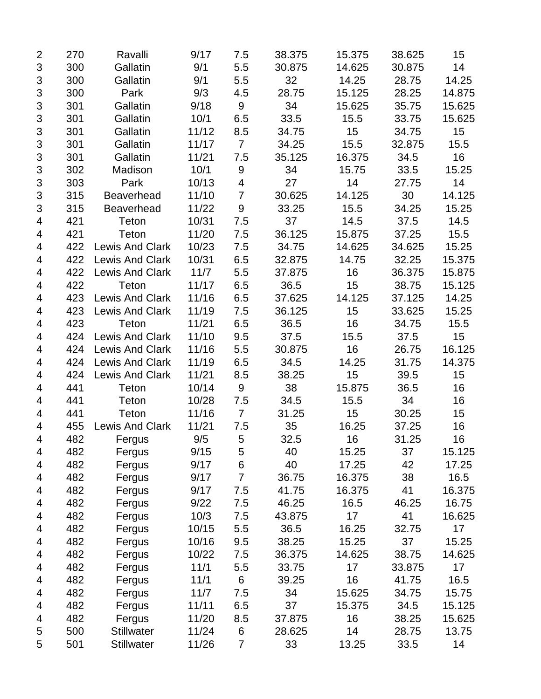| $\overline{2}$            | 270 | Ravalli                | 9/17  | 7.5            | 38.375 | 15.375 | 38.625 | 15     |
|---------------------------|-----|------------------------|-------|----------------|--------|--------|--------|--------|
| $\ensuremath{\mathsf{3}}$ | 300 | Gallatin               | 9/1   | 5.5            | 30.875 | 14.625 | 30.875 | 14     |
| $\mathfrak{S}$            | 300 | Gallatin               | 9/1   | 5.5            | 32     | 14.25  | 28.75  | 14.25  |
| 3                         | 300 | Park                   | 9/3   | 4.5            | 28.75  | 15.125 | 28.25  | 14.875 |
| 3                         | 301 | Gallatin               | 9/18  | 9              | 34     | 15.625 | 35.75  | 15.625 |
| $\mathfrak{S}$            | 301 | Gallatin               | 10/1  | 6.5            | 33.5   | 15.5   | 33.75  | 15.625 |
| $\ensuremath{\mathsf{3}}$ | 301 | Gallatin               | 11/12 | 8.5            | 34.75  | 15     | 34.75  | 15     |
| $\ensuremath{\mathsf{3}}$ | 301 | Gallatin               | 11/17 | $\overline{7}$ | 34.25  | 15.5   | 32.875 | 15.5   |
| $\ensuremath{\mathsf{3}}$ | 301 | Gallatin               | 11/21 | 7.5            | 35.125 | 16.375 | 34.5   | 16     |
| $\ensuremath{\mathsf{3}}$ | 302 | Madison                | 10/1  | 9              | 34     | 15.75  | 33.5   | 15.25  |
| 3                         | 303 | Park                   | 10/13 | 4              | 27     | 14     | 27.75  | 14     |
| 3                         | 315 | <b>Beaverhead</b>      | 11/10 | $\overline{7}$ | 30.625 | 14.125 | 30     | 14.125 |
| 3                         | 315 | <b>Beaverhead</b>      | 11/22 | 9              | 33.25  | 15.5   | 34.25  | 15.25  |
| 4                         | 421 | Teton                  | 10/31 | 7.5            | 37     | 14.5   | 37.5   | 14.5   |
| 4                         | 421 | Teton                  | 11/20 | 7.5            | 36.125 | 15.875 | 37.25  | 15.5   |
| 4                         | 422 | <b>Lewis And Clark</b> | 10/23 | 7.5            | 34.75  | 14.625 | 34.625 | 15.25  |
| 4                         | 422 | <b>Lewis And Clark</b> | 10/31 | 6.5            | 32.875 | 14.75  | 32.25  | 15.375 |
| 4                         | 422 | <b>Lewis And Clark</b> | 11/7  | 5.5            | 37.875 | 16     | 36.375 | 15.875 |
| 4                         | 422 | Teton                  | 11/17 | 6.5            | 36.5   | 15     | 38.75  | 15.125 |
| 4                         | 423 | <b>Lewis And Clark</b> | 11/16 | 6.5            | 37.625 | 14.125 | 37.125 | 14.25  |
| 4                         | 423 | <b>Lewis And Clark</b> | 11/19 | 7.5            | 36.125 | 15     | 33.625 | 15.25  |
| 4                         | 423 | Teton                  | 11/21 | 6.5            | 36.5   | 16     | 34.75  | 15.5   |
| 4                         | 424 | <b>Lewis And Clark</b> | 11/10 | 9.5            | 37.5   | 15.5   | 37.5   | 15     |
| 4                         | 424 | <b>Lewis And Clark</b> | 11/16 | 5.5            | 30.875 | 16     | 26.75  | 16.125 |
| 4                         | 424 | <b>Lewis And Clark</b> | 11/19 | 6.5            | 34.5   | 14.25  | 31.75  | 14.375 |
| 4                         | 424 | <b>Lewis And Clark</b> | 11/21 | 8.5            | 38.25  | 15     | 39.5   | 15     |
| 4                         | 441 | Teton                  | 10/14 | 9              | 38     | 15.875 | 36.5   | 16     |
| 4                         | 441 | Teton                  | 10/28 | 7.5            | 34.5   | 15.5   | 34     | 16     |
| 4                         | 441 | Teton                  | 11/16 | $\overline{7}$ | 31.25  | 15     | 30.25  | 15     |
| 4                         | 455 | <b>Lewis And Clark</b> | 11/21 | 7.5            | 35     | 16.25  | 37.25  | 16     |
| 4                         | 482 | Fergus                 | 9/5   | 5              | 32.5   | 16     | 31.25  | 16     |
| 4                         | 482 | Fergus                 | 9/15  | 5              | 40     | 15.25  | 37     | 15.125 |
| 4                         | 482 | Fergus                 | 9/17  | 6              | 40     | 17.25  | 42     | 17.25  |
| 4                         | 482 | Fergus                 | 9/17  | $\overline{7}$ | 36.75  | 16.375 | 38     | 16.5   |
| 4                         | 482 | Fergus                 | 9/17  | 7.5            | 41.75  | 16.375 | 41     | 16.375 |
| 4                         | 482 | Fergus                 | 9/22  | 7.5            | 46.25  | 16.5   | 46.25  | 16.75  |
| 4                         | 482 | Fergus                 | 10/3  | 7.5            | 43.875 | 17     | 41     | 16.625 |
| 4                         | 482 | Fergus                 | 10/15 | 5.5            | 36.5   | 16.25  | 32.75  | 17     |
| 4                         | 482 | Fergus                 | 10/16 | 9.5            | 38.25  | 15.25  | 37     | 15.25  |
| 4                         | 482 | Fergus                 | 10/22 | 7.5            | 36.375 | 14.625 | 38.75  | 14.625 |
| 4                         | 482 | Fergus                 | 11/1  | 5.5            | 33.75  | 17     | 33.875 | 17     |
| 4                         | 482 | Fergus                 | 11/1  | 6              | 39.25  | 16     | 41.75  | 16.5   |
| 4                         | 482 | Fergus                 | 11/7  | 7.5            | 34     | 15.625 | 34.75  | 15.75  |
| 4                         | 482 | Fergus                 | 11/11 | 6.5            | 37     | 15.375 | 34.5   | 15.125 |
| 4                         | 482 | Fergus                 | 11/20 | 8.5            | 37.875 | 16     | 38.25  | 15.625 |
| 5                         | 500 | <b>Stillwater</b>      | 11/24 | 6              | 28.625 | 14     | 28.75  | 13.75  |
| 5                         | 501 | <b>Stillwater</b>      | 11/26 | $\overline{7}$ | 33     | 13.25  | 33.5   | 14     |